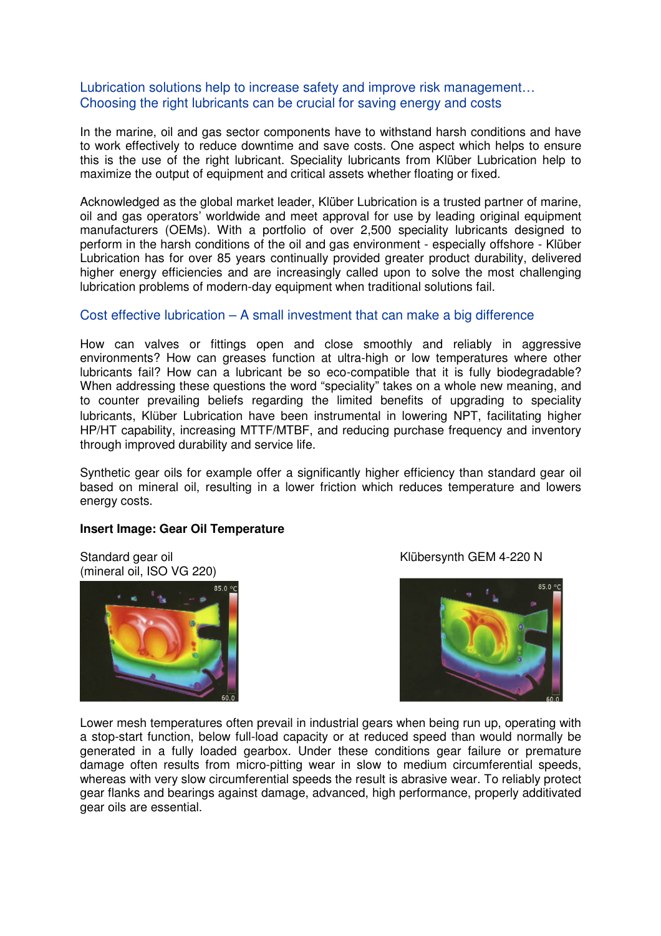## Lubrication solutions help to increase safety and improve risk management… Choosing the right lubricants can be crucial for saving energy and costs

In the marine, oil and gas sector components have to withstand harsh conditions and have to work effectively to reduce downtime and save costs. One aspect which helps to ensure this is the use of the right lubricant. Speciality lubricants from Klüber Lubrication help to maximize the output of equipment and critical assets whether floating or fixed.

Acknowledged as the global market leader, Klüber Lubrication is a trusted partner of marine, oil and gas operators' worldwide and meet approval for use by leading original equipment manufacturers (OEMs). With a portfolio of over 2,500 speciality lubricants designed to perform in the harsh conditions of the oil and gas environment - especially offshore - Klüber Lubrication has for over 85 years continually provided greater product durability, delivered higher energy efficiencies and are increasingly called upon to solve the most challenging lubrication problems of modern-day equipment when traditional solutions fail.

# Cost effective lubrication – A small investment that can make a big difference

How can valves or fittings open and close smoothly and reliably in aggressive environments? How can greases function at ultra-high or low temperatures where other lubricants fail? How can a lubricant be so eco-compatible that it is fully biodegradable? When addressing these questions the word "speciality" takes on a whole new meaning, and to counter prevailing beliefs regarding the limited benefits of upgrading to speciality lubricants, Klüber Lubrication have been instrumental in lowering NPT, facilitating higher HP/HT capability, increasing MTTF/MTBF, and reducing purchase frequency and inventory through improved durability and service life.

Synthetic gear oils for example offer a significantly higher efficiency than standard gear oil based on mineral oil, resulting in a lower friction which reduces temperature and lowers energy costs.

## **Insert Image: Gear Oil Temperature**

(mineral oil, ISO VG 220)



Standard gear oil **Standard Gear oil** Standard GEM 4-220 N



Lower mesh temperatures often prevail in industrial gears when being run up, operating with a stop-start function, below full-load capacity or at reduced speed than would normally be generated in a fully loaded gearbox. Under these conditions gear failure or premature damage often results from micro-pitting wear in slow to medium circumferential speeds, whereas with very slow circumferential speeds the result is abrasive wear. To reliably protect gear flanks and bearings against damage, advanced, high performance, properly additivated gear oils are essential.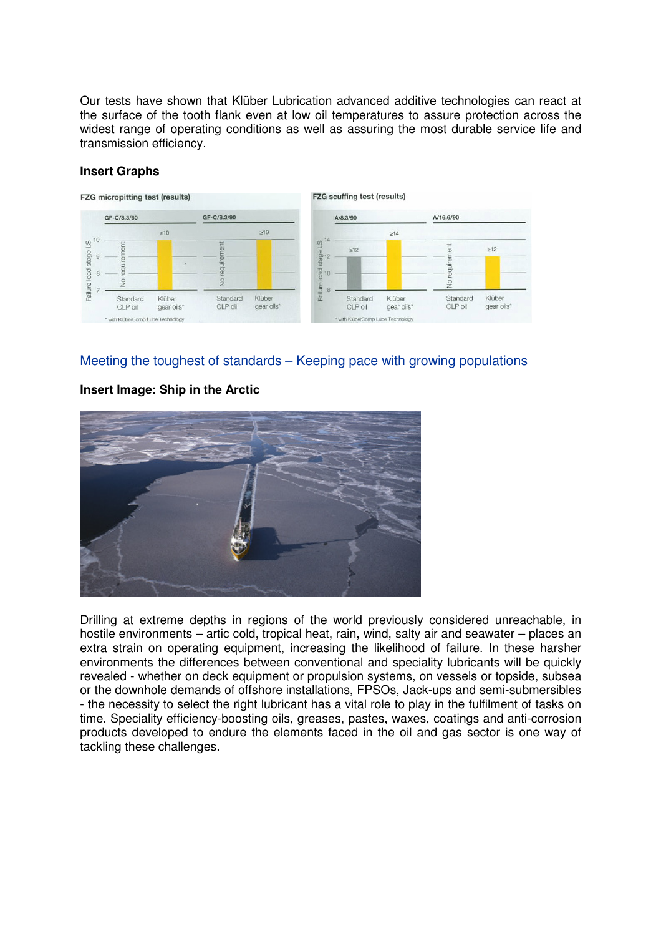Our tests have shown that Klüber Lubrication advanced additive technologies can react at the surface of the tooth flank even at low oil temperatures to assure protection across the widest range of operating conditions as well as assuring the most durable service life and transmission efficiency.



## **Insert Graphs**

# Meeting the toughest of standards – Keeping pace with growing populations

## **Insert Image: Ship in the Arctic**



Drilling at extreme depths in regions of the world previously considered unreachable, in hostile environments – artic cold, tropical heat, rain, wind, salty air and seawater – places an extra strain on operating equipment, increasing the likelihood of failure. In these harsher environments the differences between conventional and speciality lubricants will be quickly revealed - whether on deck equipment or propulsion systems, on vessels or topside, subsea or the downhole demands of offshore installations, FPSOs, Jack-ups and semi-submersibles - the necessity to select the right lubricant has a vital role to play in the fulfilment of tasks on time. Speciality efficiency-boosting oils, greases, pastes, waxes, coatings and anti-corrosion products developed to endure the elements faced in the oil and gas sector is one way of tackling these challenges.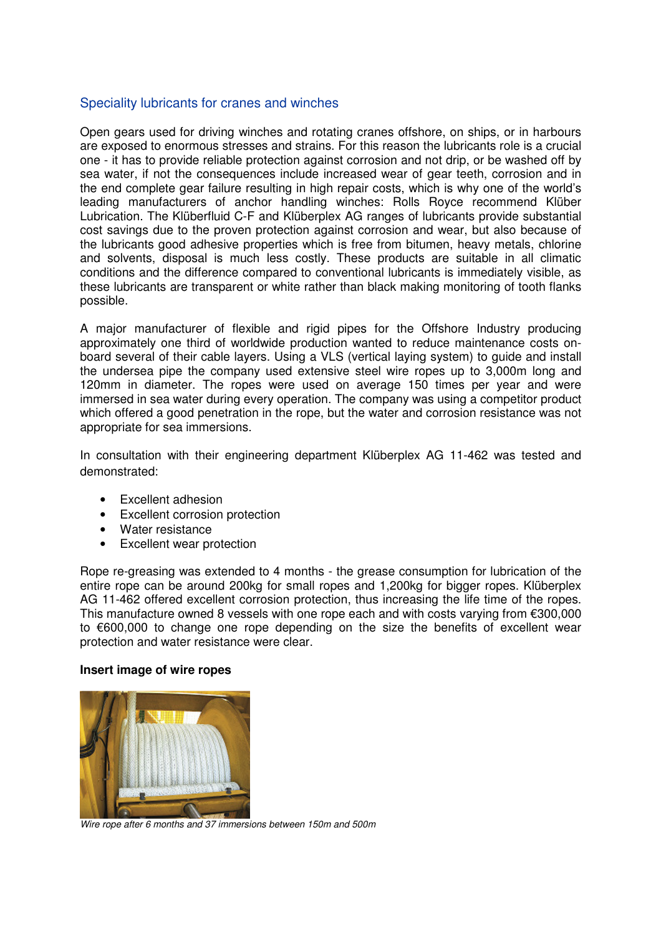## Speciality lubricants for cranes and winches

Open gears used for driving winches and rotating cranes offshore, on ships, or in harbours are exposed to enormous stresses and strains. For this reason the lubricants role is a crucial one - it has to provide reliable protection against corrosion and not drip, or be washed off by sea water, if not the consequences include increased wear of gear teeth, corrosion and in the end complete gear failure resulting in high repair costs, which is why one of the world's leading manufacturers of anchor handling winches: Rolls Royce recommend Klüber Lubrication. The Klüberfluid C-F and Klüberplex AG ranges of lubricants provide substantial cost savings due to the proven protection against corrosion and wear, but also because of the lubricants good adhesive properties which is free from bitumen, heavy metals, chlorine and solvents, disposal is much less costly. These products are suitable in all climatic conditions and the difference compared to conventional lubricants is immediately visible, as these lubricants are transparent or white rather than black making monitoring of tooth flanks possible.

A major manufacturer of flexible and rigid pipes for the Offshore Industry producing approximately one third of worldwide production wanted to reduce maintenance costs onboard several of their cable layers. Using a VLS (vertical laying system) to guide and install the undersea pipe the company used extensive steel wire ropes up to 3,000m long and 120mm in diameter. The ropes were used on average 150 times per year and were immersed in sea water during every operation. The company was using a competitor product which offered a good penetration in the rope, but the water and corrosion resistance was not appropriate for sea immersions.

In consultation with their engineering department Klüberplex AG 11-462 was tested and demonstrated:

- Excellent adhesion
- Excellent corrosion protection
- Water resistance
- Excellent wear protection

Rope re-greasing was extended to 4 months - the grease consumption for lubrication of the entire rope can be around 200kg for small ropes and 1,200kg for bigger ropes. Klüberplex AG 11-462 offered excellent corrosion protection, thus increasing the life time of the ropes. This manufacture owned 8 vessels with one rope each and with costs varying from €300,000 to €600,000 to change one rope depending on the size the benefits of excellent wear protection and water resistance were clear.

#### **Insert image of wire ropes**



Wire rope after 6 months and 37 immersions between 150m and 500m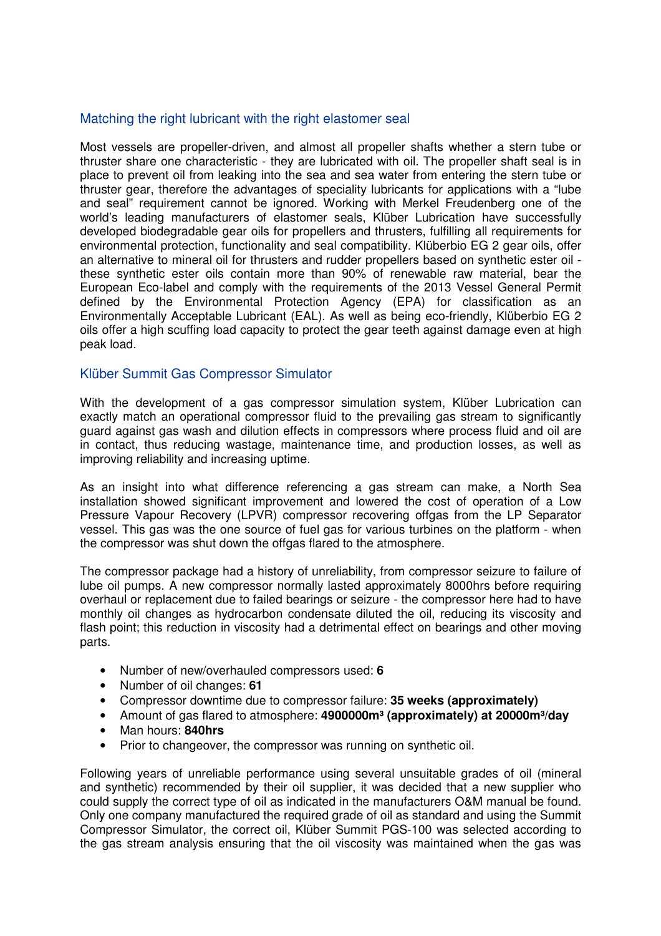## Matching the right lubricant with the right elastomer seal

Most vessels are propeller-driven, and almost all propeller shafts whether a stern tube or thruster share one characteristic - they are lubricated with oil. The propeller shaft seal is in place to prevent oil from leaking into the sea and sea water from entering the stern tube or thruster gear, therefore the advantages of speciality lubricants for applications with a "lube and seal" requirement cannot be ignored. Working with Merkel Freudenberg one of the world's leading manufacturers of elastomer seals, Klüber Lubrication have successfully developed biodegradable gear oils for propellers and thrusters, fulfilling all requirements for environmental protection, functionality and seal compatibility. Klüberbio EG 2 gear oils, offer an alternative to mineral oil for thrusters and rudder propellers based on synthetic ester oil these synthetic ester oils contain more than 90% of renewable raw material, bear the European Eco-label and comply with the requirements of the 2013 Vessel General Permit defined by the Environmental Protection Agency (EPA) for classification as an Environmentally Acceptable Lubricant (EAL). As well as being eco-friendly, Klüberbio EG 2 oils offer a high scuffing load capacity to protect the gear teeth against damage even at high peak load.

## Klüber Summit Gas Compressor Simulator

With the development of a gas compressor simulation system, Klüber Lubrication can exactly match an operational compressor fluid to the prevailing gas stream to significantly guard against gas wash and dilution effects in compressors where process fluid and oil are in contact, thus reducing wastage, maintenance time, and production losses, as well as improving reliability and increasing uptime.

As an insight into what difference referencing a gas stream can make, a North Sea installation showed significant improvement and lowered the cost of operation of a Low Pressure Vapour Recovery (LPVR) compressor recovering offgas from the LP Separator vessel. This gas was the one source of fuel gas for various turbines on the platform - when the compressor was shut down the offgas flared to the atmosphere.

The compressor package had a history of unreliability, from compressor seizure to failure of lube oil pumps. A new compressor normally lasted approximately 8000hrs before requiring overhaul or replacement due to failed bearings or seizure - the compressor here had to have monthly oil changes as hydrocarbon condensate diluted the oil, reducing its viscosity and flash point; this reduction in viscosity had a detrimental effect on bearings and other moving parts.

- Number of new/overhauled compressors used: **6**
- Number of oil changes: **61**
- Compressor downtime due to compressor failure: **35 weeks (approximately)**
- Amount of gas flared to atmosphere: **4900000m³ (approximately) at 20000m³/day**
- Man hours: **840hrs**
- Prior to changeover, the compressor was running on synthetic oil.

Following years of unreliable performance using several unsuitable grades of oil (mineral and synthetic) recommended by their oil supplier, it was decided that a new supplier who could supply the correct type of oil as indicated in the manufacturers O&M manual be found. Only one company manufactured the required grade of oil as standard and using the Summit Compressor Simulator, the correct oil, Klüber Summit PGS-100 was selected according to the gas stream analysis ensuring that the oil viscosity was maintained when the gas was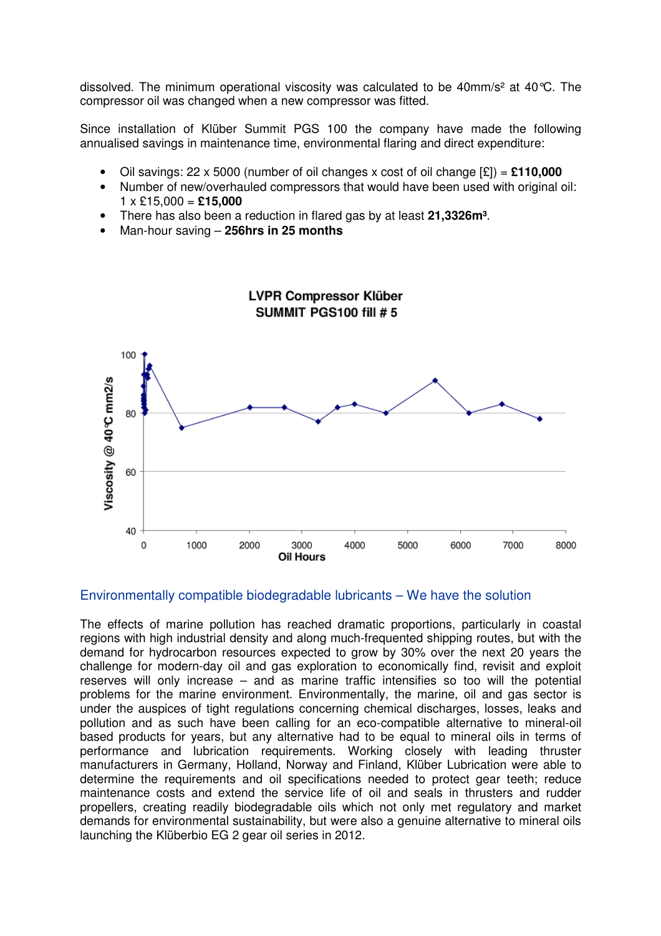dissolved. The minimum operational viscosity was calculated to be 40mm/s<sup>2</sup> at 40 °C. The compressor oil was changed when a new compressor was fitted.

Since installation of Klüber Summit PGS 100 the company have made the following annualised savings in maintenance time, environmental flaring and direct expenditure:

- Oil savings: 22 x 5000 (number of oil changes x cost of oil change [£]) = **£110,000**
- Number of new/overhauled compressors that would have been used with original oil:  $1 \times$  £15,000 = £15,000
- There has also been a reduction in flared gas by at least **21,3326m³**.
- Man-hour saving **256hrs in 25 months**



#### Environmentally compatible biodegradable lubricants – We have the solution

The effects of marine pollution has reached dramatic proportions, particularly in coastal regions with high industrial density and along much-frequented shipping routes, but with the demand for hydrocarbon resources expected to grow by 30% over the next 20 years the challenge for modern-day oil and gas exploration to economically find, revisit and exploit reserves will only increase – and as marine traffic intensifies so too will the potential problems for the marine environment. Environmentally, the marine, oil and gas sector is under the auspices of tight regulations concerning chemical discharges, losses, leaks and pollution and as such have been calling for an eco-compatible alternative to mineral-oil based products for years, but any alternative had to be equal to mineral oils in terms of performance and lubrication requirements. Working closely with leading thruster manufacturers in Germany, Holland, Norway and Finland, Klüber Lubrication were able to determine the requirements and oil specifications needed to protect gear teeth; reduce maintenance costs and extend the service life of oil and seals in thrusters and rudder propellers, creating readily biodegradable oils which not only met regulatory and market demands for environmental sustainability, but were also a genuine alternative to mineral oils launching the Klüberbio EG 2 gear oil series in 2012.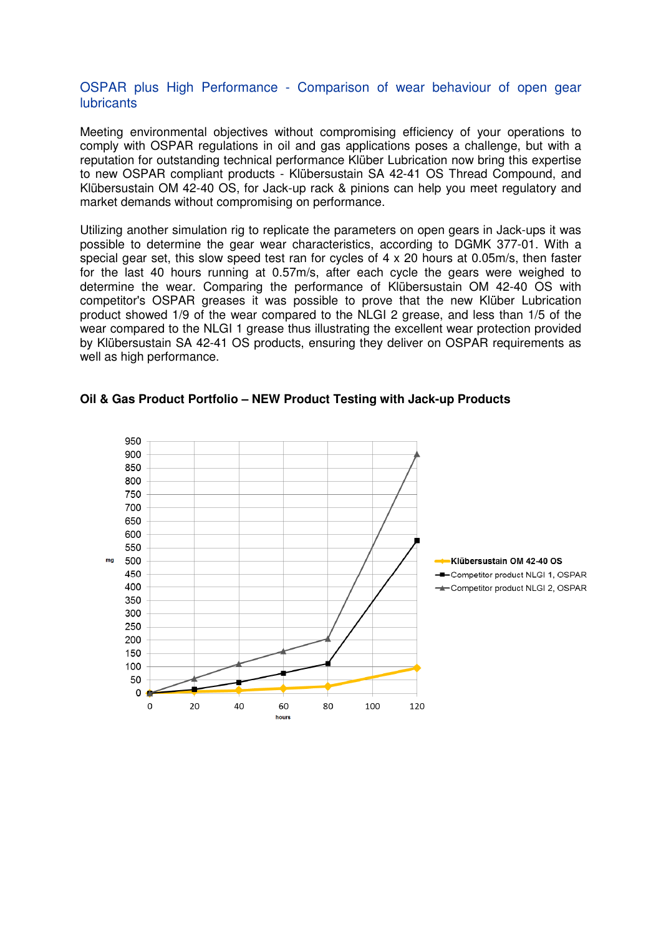### OSPAR plus High Performance - Comparison of wear behaviour of open gear **lubricants**

Meeting environmental objectives without compromising efficiency of your operations to comply with OSPAR regulations in oil and gas applications poses a challenge, but with a reputation for outstanding technical performance Klüber Lubrication now bring this expertise to new OSPAR compliant products - Klübersustain SA 42-41 OS Thread Compound, and Klübersustain OM 42-40 OS, for Jack-up rack & pinions can help you meet regulatory and market demands without compromising on performance.

Utilizing another simulation rig to replicate the parameters on open gears in Jack-ups it was possible to determine the gear wear characteristics, according to DGMK 377-01. With a special gear set, this slow speed test ran for cycles of 4 x 20 hours at 0.05m/s, then faster for the last 40 hours running at 0.57m/s, after each cycle the gears were weighed to determine the wear. Comparing the performance of Klübersustain OM 42-40 OS with competitor's OSPAR greases it was possible to prove that the new Klüber Lubrication product showed 1/9 of the wear compared to the NLGI 2 grease, and less than 1/5 of the wear compared to the NLGI 1 grease thus illustrating the excellent wear protection provided by Klübersustain SA 42-41 OS products, ensuring they deliver on OSPAR requirements as well as high performance.

#### **Oil & Gas Product Portfolio – NEW Product Testing with Jack-up Products**